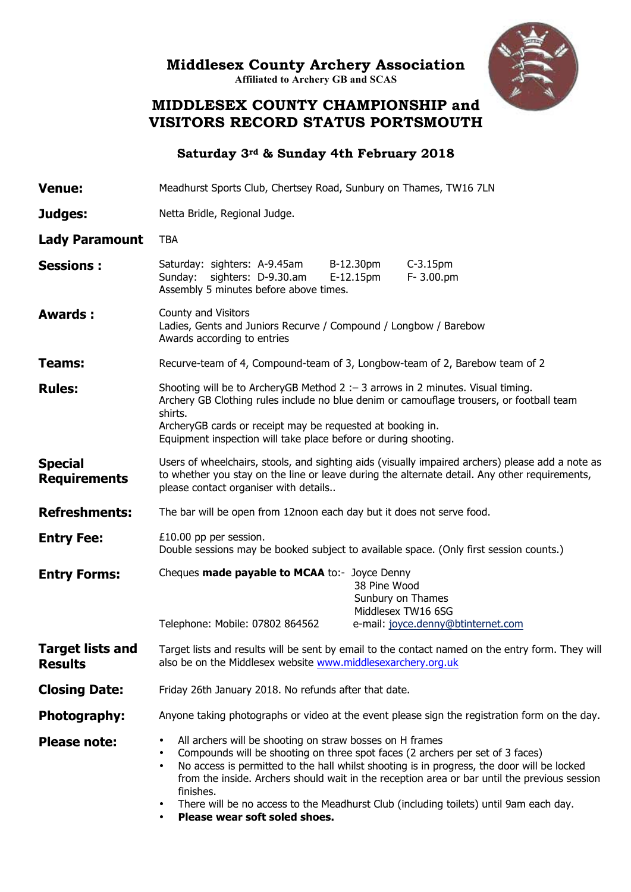**Middlesex County Archery Association** 

**Affiliated to Archery GB and SCAS**



## **MIDDLESEX COUNTY CHAMPIONSHIP and VISITORS RECORD STATUS PORTSMOUTH**

**Saturday 3rd & Sunday 4th February 2018**

| <b>Venue:</b>                             | Meadhurst Sports Club, Chertsey Road, Sunbury on Thames, TW16 7LN                                                                                                                                                                                                                                                                                                                                                                                                                                                            |                                                                                                                                                                                                                                                                                                                                                                                        |                                    |  |  |  |  |  |  |
|-------------------------------------------|------------------------------------------------------------------------------------------------------------------------------------------------------------------------------------------------------------------------------------------------------------------------------------------------------------------------------------------------------------------------------------------------------------------------------------------------------------------------------------------------------------------------------|----------------------------------------------------------------------------------------------------------------------------------------------------------------------------------------------------------------------------------------------------------------------------------------------------------------------------------------------------------------------------------------|------------------------------------|--|--|--|--|--|--|
| Judges:                                   | Netta Bridle, Regional Judge.                                                                                                                                                                                                                                                                                                                                                                                                                                                                                                | B-12.30pm<br>$C-3.15$ pm                                                                                                                                                                                                                                                                                                                                                               |                                    |  |  |  |  |  |  |
| <b>Lady Paramount</b>                     | <b>TBA</b>                                                                                                                                                                                                                                                                                                                                                                                                                                                                                                                   |                                                                                                                                                                                                                                                                                                                                                                                        |                                    |  |  |  |  |  |  |
| <b>Sessions:</b>                          | Saturday: sighters: A-9.45am<br>Sunday: sighters: D-9.30.am<br>Assembly 5 minutes before above times.                                                                                                                                                                                                                                                                                                                                                                                                                        | E-12.15pm                                                                                                                                                                                                                                                                                                                                                                              | F- 3.00.pm                         |  |  |  |  |  |  |
| <b>Awards:</b>                            | County and Visitors<br>Ladies, Gents and Juniors Recurve / Compound / Longbow / Barebow<br>Awards according to entries                                                                                                                                                                                                                                                                                                                                                                                                       |                                                                                                                                                                                                                                                                                                                                                                                        |                                    |  |  |  |  |  |  |
| Teams:                                    | Recurve-team of 4, Compound-team of 3, Longbow-team of 2, Barebow team of 2                                                                                                                                                                                                                                                                                                                                                                                                                                                  |                                                                                                                                                                                                                                                                                                                                                                                        |                                    |  |  |  |  |  |  |
| <b>Rules:</b>                             | shirts.                                                                                                                                                                                                                                                                                                                                                                                                                                                                                                                      | Shooting will be to ArcheryGB Method 2 : - 3 arrows in 2 minutes. Visual timing.<br>Archery GB Clothing rules include no blue denim or camouflage trousers, or football team<br>ArcheryGB cards or receipt may be requested at booking in.<br>Equipment inspection will take place before or during shooting.<br>The bar will be open from 12noon each day but it does not serve food. |                                    |  |  |  |  |  |  |
| <b>Special</b><br><b>Requirements</b>     | Users of wheelchairs, stools, and sighting aids (visually impaired archers) please add a note as<br>to whether you stay on the line or leave during the alternate detail. Any other requirements,<br>please contact organiser with details                                                                                                                                                                                                                                                                                   |                                                                                                                                                                                                                                                                                                                                                                                        |                                    |  |  |  |  |  |  |
| <b>Refreshments:</b>                      |                                                                                                                                                                                                                                                                                                                                                                                                                                                                                                                              |                                                                                                                                                                                                                                                                                                                                                                                        |                                    |  |  |  |  |  |  |
| <b>Entry Fee:</b>                         | £10.00 pp per session.<br>Double sessions may be booked subject to available space. (Only first session counts.)                                                                                                                                                                                                                                                                                                                                                                                                             |                                                                                                                                                                                                                                                                                                                                                                                        |                                    |  |  |  |  |  |  |
| <b>Entry Forms:</b>                       | Cheques made payable to MCAA to:- Joyce Denny<br>Telephone: Mobile: 07802 864562                                                                                                                                                                                                                                                                                                                                                                                                                                             | 38 Pine Wood<br>Sunbury on Thames<br>Middlesex TW16 6SG                                                                                                                                                                                                                                                                                                                                | e-mail: joyce.denny@btinternet.com |  |  |  |  |  |  |
| <b>Target lists and</b><br><b>Results</b> | Taraet lists and results will be sent by email to the contact named on the entry form. They will<br>also be on the Middlesex website www.middlesexarchery.org.uk                                                                                                                                                                                                                                                                                                                                                             |                                                                                                                                                                                                                                                                                                                                                                                        |                                    |  |  |  |  |  |  |
| <b>Closing Date:</b>                      | Friday 26th January 2018. No refunds after that date.                                                                                                                                                                                                                                                                                                                                                                                                                                                                        |                                                                                                                                                                                                                                                                                                                                                                                        |                                    |  |  |  |  |  |  |
| Photography:                              | Anyone taking photographs or video at the event please sign the registration form on the day.                                                                                                                                                                                                                                                                                                                                                                                                                                |                                                                                                                                                                                                                                                                                                                                                                                        |                                    |  |  |  |  |  |  |
| <b>Please note:</b>                       | All archers will be shooting on straw bosses on H frames<br>٠<br>Compounds will be shooting on three spot faces (2 archers per set of 3 faces)<br>$\bullet$<br>No access is permitted to the hall whilst shooting is in progress, the door will be locked<br>$\bullet$<br>from the inside. Archers should wait in the reception area or bar until the previous session<br>finishes.<br>There will be no access to the Meadhurst Club (including toilets) until 9am each day.<br>Please wear soft soled shoes.<br>$\bullet$ . |                                                                                                                                                                                                                                                                                                                                                                                        |                                    |  |  |  |  |  |  |